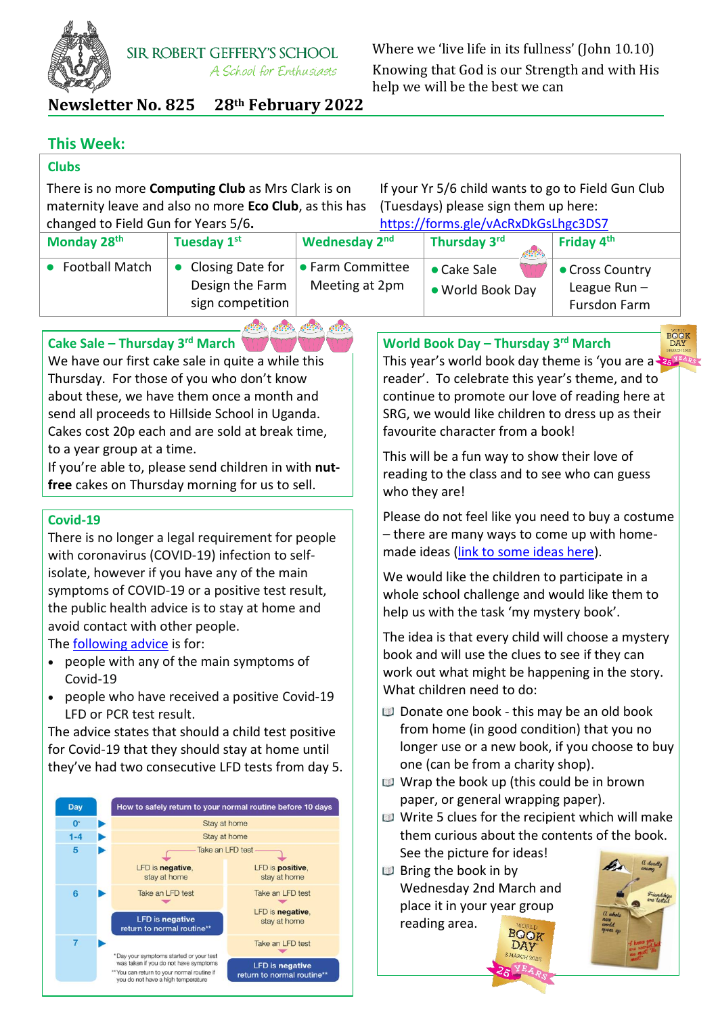

Where we 'live life in its fullness' (John 10.10) Knowing that God is our Strength and with His help we will be the best we can

**Newsletter No. 825 28th February 2022**

## **This Week:**

## **Clubs**

There is no more **Computing Club** as Mrs Clark is on maternity leave and also no more **Eco Club**, as this has changed to Field Gun for Years 5/6**.**

If your Yr 5/6 child wants to go to Field Gun Club (Tuesdays) please sign them up here: <https://forms.gle/vAcRxDkGsLhgc3DS7>

| changed to rigid Guirror Tears 370. |                                                         | <u>IIIIDS.//IUIIIIS.RIE/VACIVADNOSLIIRCJDJ/</u> |                                 |                                                   |
|-------------------------------------|---------------------------------------------------------|-------------------------------------------------|---------------------------------|---------------------------------------------------|
| Monday 28 <sup>th</sup>             | Tuesday 1st                                             | Wednesday 2nd                                   | Thursday 3rd<br>6830,           | Friday 4 <sup>th</sup>                            |
| <b>Football Match</b>               | Closing Date for<br>Design the Farm<br>sign competition | <b>• Farm Committee</b><br>Meeting at 2pm       | • Cake Sale<br>• World Book Day | • Cross Country<br>League $Run -$<br>Fursdon Farm |
|                                     |                                                         |                                                 |                                 |                                                   |

 $\mathcal{L}(\mathbb{R}^d)$ 

 $60.93$ 

 $\mathcal{L}(\mathbb{R}^d)$ 

**Cake Sale – Thursday 3rd March**

We have our first cake sale in quite a while this Thursday. For those of you who don't know about these, we have them once a month and send all proceeds to Hillside School in Uganda. Cakes cost 20p each and are sold at break time, to a year group at a time.

If you're able to, please send children in with **nutfree** cakes on Thursday morning for us to sell.

### **Covid-19**

There is no longer a legal requirement for people with coronavirus (COVID-19) infection to selfisolate, however if you have any of the main symptoms of COVID-19 or a positive test result, the public health advice is to stay at home and avoid contact with other people.

The [following advice](https://www.gov.uk/government/publications/covid-19-people-with-covid-19-and-their-contacts/covid-19-people-with-covid-19-and-their-contacts) is for:

- people with any of the main symptoms of Covid-19
- people who have received a positive Covid-19 LFD or PCR test result.

The advice states that should a child test positive for Covid-19 that they should stay at home until they've had two consecutive LFD tests from day 5.



This year's world book day theme is 'you are a  $25^{\frac{124R_S}{124R_S}}$ reader'. To celebrate this year's theme, and to continue to promote our love of reading here at SRG, we would like children to dress up as their favourite character from a book!

**BOOK** 

**World Book Day – Thursday 3 rd March**

This will be a fun way to show their love of reading to the class and to see who can guess who they are!

Please do not feel like you need to buy a costume – there are many ways to come up with homemade ideas [\(link to some ideas here\)](https://www.madeformums.com/toddler-and-preschool/last-minute-easy-world-book-day-costumes/).

We would like the children to participate in a whole school challenge and would like them to help us with the task 'my mystery book'.

The idea is that every child will choose a mystery book and will use the clues to see if they can work out what might be happening in the story. What children need to do:

- Donate one book this may be an old book from home (in good condition) that you no longer use or a new book, if you choose to buy one (can be from a charity shop).
- Wrap the book up (this could be in brown paper, or general wrapping paper).
- Write 5 clues for the recipient which will make them curious about the contents of the book. See the picture for ideas!

DAY

**Bring the book in by** Wednesday 2nd March and place it in your year group reading area.**BOOK**